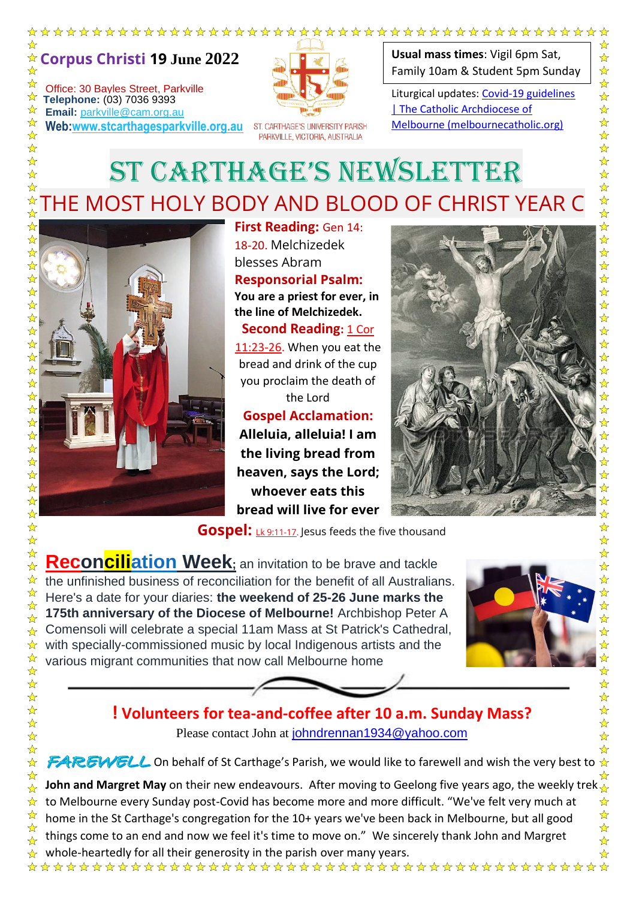

Office: 30 Bayles Street, Parkville **Telephone:** (03) 7036 9393<br> **Email:** parkyille@cam.org **Email:** parkville@cam.org.au

 $\rightarrow$ 

 $\frac{1}{\lambda}$  $\frac{1}{\sqrt{2}}$ 

 $\frac{1}{\sqrt{2}}$ 

 $\frac{\lambda}{\lambda}$ ☆ ☆  $\frac{1}{\sqrt{2}}$ 

 $\frac{1}{\sqrt{2}}$ 

☆  $\frac{1}{\sqrt{2}}$ 

 $\frac{1}{\sqrt{2}}$ 

 $\frac{1}{\mathbf{k}}$ 

 $\frac{1}{\sqrt{2}}$  $\frac{1}{\sqrt{2}}$ 

 $\frac{1}{\sqrt{2}}$  $\frac{1}{\sqrt{2}}$ 

 $\frac{\lambda}{\lambda}$ 

☆

 $\frac{1}{\sqrt{2}}$ ☆

☆

☆

 $\frac{1}{\sqrt{2}}$ ☆

 $\frac{1}{\mathcal{N}}$ 

 $\frac{1}{\sqrt{2}}$ 

☆

 $\frac{1}{\mathcal{N}}$ 

 $\frac{1}{\sqrt{2}}$ ☆

 $\frac{1}{\mathcal{N}}$ 

 $\frac{1}{\sqrt{2}}$  $\frac{\lambda}{\lambda}$ 

☆

☆

☆

 $\frac{1}{\sqrt{2}}$ 

☆

☆

☆

☆

 $\frac{1}{\mathcal{N}}$ 

 $\frac{1}{\sqrt{2}}$ 24 24

 $\frac{1}{\sqrt{2}}$ 

 $\frac{1}{\sqrt{2}}$ 

 $\frac{1}{\sqrt{2}}$ ☆  $\frac{1}{\sqrt{2}}$ 

☆

☆

☆ ☆

☆

☆ **Web:www.stcarthagesparkville.org.au**  $\frac{1}{\sqrt{2}}$ 

ST. CARTHAGE'S UNIVERSITY PARISH PARKVILLE, VICTORIA, AUSTRALIA

**Usual mass times**: Vigil 6pm Sat, Family 10am & Student 5pm Sunday

Liturgical updates: Covid-19 guidelines | The Catholic Archdiocese of Melbourne (melbournecatholic.org)

# ST CARTHAGE'S NEWSLETTER THE MOST HOLY BODY AND BLOOD OF CHRIST YEAR C

**First Reading:** Gen 14: 18-20. Melchizedek blesses Abram **Responsorial Psalm: You are a priest for ever, in** 

**the line of Melchizedek. Second Reading: 1 Cor** 

11:23-26. When you eat the bread and drink of the cup you proclaim the death of the Lord

**Gospel Acclamation: Alleluia, alleluia! I am the living bread from heaven, says the Lord; whoever eats this bread will live for ever**



**Gospel:** *Lk 9:11-17.* Jesus feeds the five thousand

**Reconciliation Week;** an invitation to be brave and tackle the unfinished business of reconciliation for the benefit of all Australians. Here's a date for your diaries: **the weekend of 25-26 June marks the 175th anniversary of the Diocese of Melbourne!** Archbishop Peter A Comensoli will celebrate a special 11am Mass at St Patrick's Cathedral, with specially-commissioned music by local Indigenous artists and the various migrant communities that now call Melbourne home



### **! Volunteers for tea-and-coffee after 10 a.m. Sunday Mass?**

Please contact John at johndrennan1934@yahoo.com

FAREWELL On behalf of St Carthage's Parish, we would like to farewell and wish the very best to  $\star$ 

**John and Margret May** on their new endeavours. After moving to Geelong five years ago, the weekly trek to Melbourne every Sunday post-Covid has become more and more difficult. "We've felt very much at home in the St Carthage's congregation for the 10+ years we've been back in Melbourne, but all good things come to an end and now we feel it's time to move on." We sincerely thank John and Margret

whole-heartedly for all their generosity in the parish over many years.